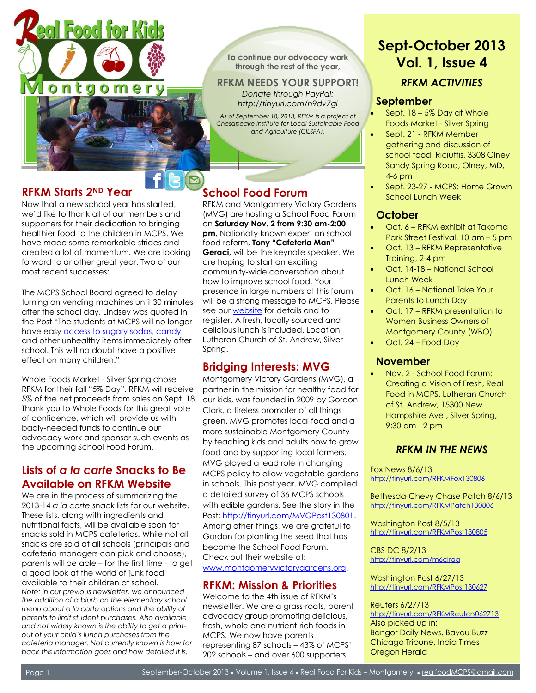

**To continue our advocacy work through the rest of the year,**

**RFKM NEEDS YOUR SUPPORT!** *Donate through PayPal: <http://tinyurl.com/n9dv7gl>*

*As of September 18, 2013, RFKM is a project of Chesapeake Institute for Local Sustainable Food and Agriculture (CILSFA).* 

## **RFKM Starts 2ND Year**

Ī

Now that a new school year has started, we'd like to thank all of our members and supporters for their dedication to bringing healthier food to the children in MCPS. We have made some remarkable strides and created a lot of momentum. We are looking forward to another great year. Two of our most recent successes:

The MCPS School Board agreed to delay turning on vending machines until 30 minutes after the school day. Lindsey was quoted in the Post "The students at MCPS will no longer have easy **access to sugary sodas**, candy and other unhealthy items immediately after school. This will no doubt have a positive effect on many children."

Whole Foods Market - Silver Spring chose RFKM for their fall "5% Day". RFKM will receive 5% of the net proceeds from sales on Sept. 18. Thank you to Whole Foods for this great vote of confidence, which will provide us with badly-needed funds to continue our advocacy work and sponsor such events as the upcoming School Food Forum.

## **Lists of** *a la carte* **Snacks to Be Available on RFKM Website**

We are in the process of summarizing the 2013-14 *a la carte* snack lists for our website. These lists, along with ingredients and nutritional facts, will be available soon for snacks sold in MCPS cafeterias. While not all snacks are sold at all schools (principals and cafeteria managers can pick and choose), parents will be able – for the first time - to get a good look at the world of junk food available to their children at school. *Note: In our previous newsletter, we announced the addition of a blurb on the elementary school menu about a la carte options and the ability of parents to limit student purchases. Also available and not widely known is the ability to get a printout of your child's lunch purchases from the cafeteria manager. Not currently known is how far back this information goes and how detailed it is.* 

# **[S](mailto:realfoodmcps@gmail.com)chool Food Forum**

RFKM and Montgomery Victory Gardens (MVG) are hosting a School Food Forum on **Saturday Nov. 2 from 9:30 am-2:00 pm.** Nationally-known expert on school food reform, **Tony "Cafeteria Man" Geraci,** will be the keynote speaker. We are hoping to start an exciting community-wide conversation about how to improve school food. Your presence in large numbers at this forum will be a strong message to MCPS. Please see our [website](http://www.realfoodforkidsmontgomery.org/) for details and to register. A fresh, locally-sourced and delicious lunch is included. Location: Lutheran Church of St. Andrew, Silver Spring.

# **Bridging Interests: MVG**

Montgomery Victory Gardens (MVG), a partner in the mission for healthy food for our kids, was founded in 2009 by Gordon Clark, a tireless promoter of all things green. MVG promotes local food and a more sustainable Montgomery County by teaching kids and adults how to grow food and by supporting local farmers. MVG played a lead role in changing MCPS policy to allow vegetable gardens in schools. This past year, MVG compiled a detailed survey of 36 MCPS schools with edible gardens. See the story in the Post: [http://tinyurl.com/MVGPost130801.](http://tinyurl.com/MVGPost130801) Among other things, we are grateful to Gordon for planting the seed that has become the School Food Forum. Check out their website at: [www.montgomeryvictorygardens.org.](http://www.montgomeryvictorygardens.org/)

### **RFKM: Mission & Priorities**

Welcome to the 4th issue of RFKM's newsletter. We are a grass-roots, parent advocacy group promoting delicious, fresh, whole and nutrient-rich foods in MCPS. We now have parents representing 87 schools – 43% of MCPS' 202 schools – and over 600 supporters.

# **Sept-October 2013 Vol. 1, Issue 4**

# *RFKM ACTIVITIES*

#### **September**

- Sept. 18 5% Day at Whole Foods Market - Silver Spring
- Sept. 21 RFKM Member gathering and discussion of school food, Riciuttis, 3308 Olney Sandy Spring Road, Olney, MD, 4-6 pm
- Sept. 23-27 MCPS: Home Grown School Lunch Week

### **October**

- Oct. 6 RFKM exhibit at Takoma Park Street Festival, 10 am – 5 pm
- Oct. 13 RFKM Representative Training, 2-4 pm
- Oct. 14-18 National School Lunch Week
- Oct. 16 National Take Your Parents to Lunch Day
- Oct. 17 RFKM presentation to Women Business Owners of Montgomery County (WBO)
- Oct. 24 Food Day

#### **November**

 Nov. 2 - School Food Forum: Creating a Vision of Fresh, Real Food in MCPS. Lutheran Church of St. Andrew, 15300 New Hampshire Ave., Silver Spring, 9:30 am - 2 pm

### *RFKM IN THE NEWS*

Fox News 8/6/13 <http://tinyurl.com/RFKMFox130806>

Bethesda-Chevy Chase Patch 8/6/13 <http://tinyurl.com/RFKMPatch130806>

Washington Post 8/5/13 <http://tinyurl.com/RFKMPost130805>

CBS DC 8/2/13 <http://tinyurl.com/m6clrgg>

Washington Post 6/27/13 <http://tinyurl.com/RFKMPost130627>

#### Reuters 6/27/13

[http://tinyurl.com/RFKMReuters06271](http://tinyurl.com/RFKMReuters0627)3 Also picked up in: Bangor Daily News, Bayou Buzz Chicago Tribune, India Times Oregon Herald